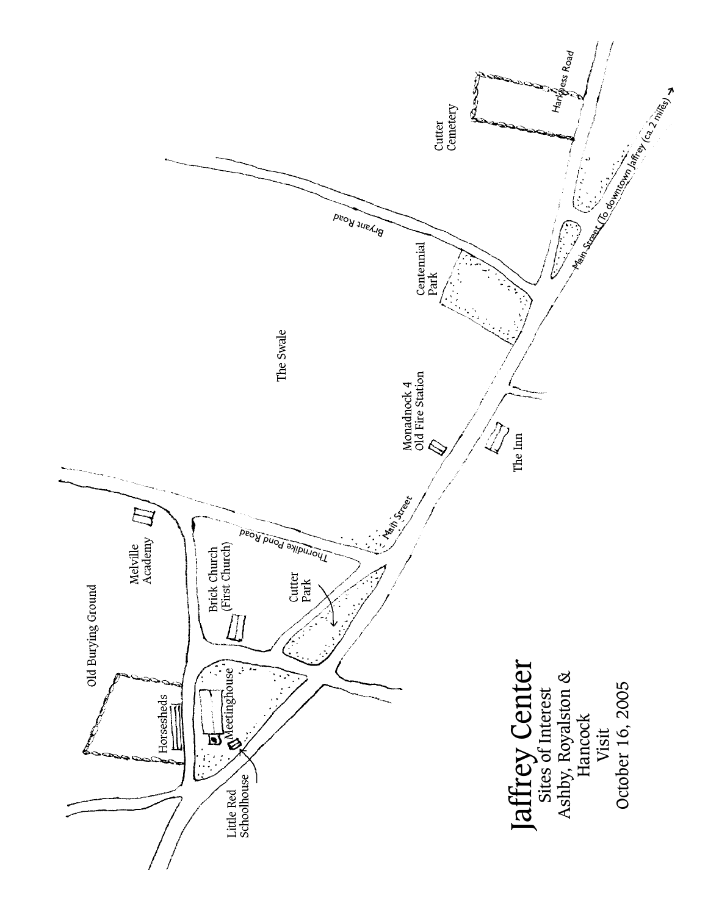